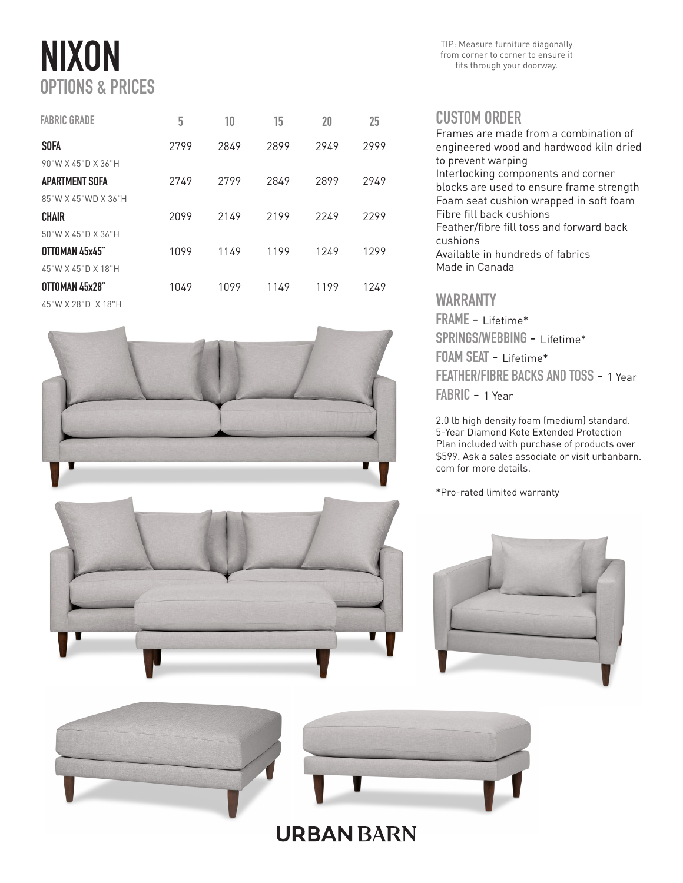# NIXON OPTIONS & PRICES

| <b>FABRIC GRADE</b> | 5    | 10   | 15   | 20   | 25   |
|---------------------|------|------|------|------|------|
| <b>SOFA</b>         | 2799 | 2849 | 2899 | 2949 | 2999 |
| 90"W X 45"D X 36"H  |      |      |      |      |      |
| APARTMENT SOFA      | 2749 | 2799 | 2849 | 2899 | 2949 |
| 85"W X 45"WD X 36"H |      |      |      |      |      |
| <b>CHAIR</b>        | 2099 | 2149 | 2199 | 2249 | 2299 |
| 50"W X 45"D X 36"H  |      |      |      |      |      |
| OTTOMAN 45x45"      | 1099 | 1149 | 1199 | 1249 | 1299 |
| 45"W X 45"D X 18"H  |      |      |      |      |      |
| OTTOMAN 45x28"      | 1049 | 1099 | 1149 | 1199 | 1249 |
| 45"W X 28"D X 18"H  |      |      |      |      |      |



TIP: Measure furniture diagonally from corner to corner to ensure it fits through your doorway.

#### CUSTOM ORDER

Frames are made from a combination of engineered wood and hardwood kiln dried to prevent warping Interlocking components and corner blocks are used to ensure frame strength Foam seat cushion wrapped in soft foam Fibre fill back cushions Feather/fibre fill toss and forward back cushions Available in hundreds of fabrics Made in Canada

### WARRANTY

FRAME - Lifetime\* SPRINGS/WEBBING - Lifetime\* FOAM SEAT - Lifetime\* FEATHER/FIBRE BACKS AND TOSS - 1 Year FABRIC - 1 Year

2.0 lb high density foam (medium) standard. 5-Year Diamond Kote Extended Protection Plan included with purchase of products over \$599. Ask a sales associate or visit urbanbarn. com for more details.

\*Pro-rated limited warranty







## **URBAN BARN**